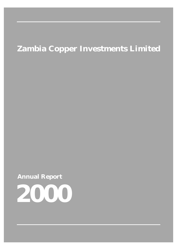# **Zambia Copper Investments Limited**

**Annual Report**

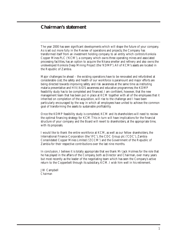# **Chairman's statement**

The year 2000 has seen significant developments which will shape the future of your company. As is set out more fully in the Review of operations and projects, the Company has transformed itself from an investment holding company to an entity which controls Konkola Copper Mines PLC ('KCM'), a company which owns three operating mines and associated processing facilities, has an option to acquire the Nkana smelter and refinery and also owns the undeveloped Konkola Deep Mining Project (the 'KDMP').All of KCM's assets are located in the Republic of Zambia.

Major challenges lie ahead – the existing operations have to be renovated and refurbished at considerable cost; the safety and health of our workforce is paramount and major efforts are being directed towards improving safety and risk awareness at the same time as instituting malaria preventative and HIV/AIDS awareness and educative programmes; the KDMP feasibility study has to be completed and financed. I am confident, however, that the new management team that has been put in place at KCM together with all of the employees that it inherited on completion of the acquisition, will rise to the challenge and I have been particularly encouraged by the way in which all employees have united to achieve the common goal of transforming the assets to sustainable profitability.

Once the KDMP feasibility study is completed, KCM and its shareholders will need to review the optimal financing strategy for KCM.This in turn will have implications for the financial structure of your company and the Board will revert to shareholders, at the appropriate time, with its proposals.

I would like to thank the entire workforce at KCM, as well as our fellow shareholders, the International Finance Corporation (the 'IFC'), the CDC Group plc ('CDC'), Zambia Consolidated Copper Mines Limited ('ZCCM') and the Government of the Republic of Zambia for their respective contributions over the last nine months.

In conclusion, I believe it is totally appropriate that we thank Mr Jack Holmes for the role that he has played in the affairs of the Company, both as Director and Chairman, over many years but most recently as the leader of the negotiating team which has seen the Company's active return to the Copperbelt through its subsidiary, KCM. I wish him well in his retirement.

J W Campbell *Chairman*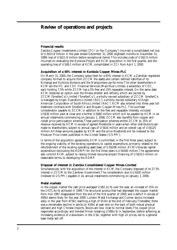# **Review of operations and projects**

### **Financial results**

Zambia Copper Investments Limited ('ZCI' or the 'Company') incurred a consolidated net loss of US\$15.8 million in the year ended December 31, 2000 (eighteen months to December 31, 1999: loss of US\$11.8 million before exceptional items).This includes costs of US\$2.9 million incurred on evaluating the Konkola Project and KCM acquisition in the first quarter, and the operating loss of US\$9.2 million at KCM, consolidated in ZCI from April 1, 2000.

#### **Acquisition of a 65% interest in Konkola Copper Mines PLC**

On March 31, 2000, the Company subscribed for a 65% interest in KCM, a Zambian registered company formed to acquire from ZCCM the assets and certain defined liabilities of its Nchanga and Konkola divisions and the Nampundwe pyrite mine.The other shareholders in KCM are the IFC and CDC Financial Services (Mauritius) Limited, a subsidiary of CDC, each holding 7.5% while ZCCM has a 5% free and 15% repayable interest. On the same date KCM obtained an option over the Nkana smelter and refinery, which are owned by ZCCM (SmelterCo) Limited ('SmelterCo'), a wholly-owned subsidiary of ZCCM. SmelterCo is managed by Anglo Operations Limited ('AOL'), a wholly-owned subsidiary of Anglo American Corporation of South Africa Limited ('AAC'). KCM also entered into three year toll treatment contracts with SmelterCo and Mopani Copper Mines PLC.The purchase consideration payable to ZCCM, in addition to the free and repayable interests, included US\$30 million paid at close and a further US\$60 million which will be payable by KCM in six annual instalments commencing on January 1, 2006. ZCCM also benefits from copper and cobalt price participation schemes.These participation schemes entitle ZCCM to 25% of revenue received by KCM in excess of agreed thresholds in years when other distributions are made to shareholders, subject to annual caps of US\$16 million and an overall cap of US\$125 million.All these amounts payable by KCM and the price thresholds will be indexed to the Producer Price Index published in the United States ('US PPI').

In terms of the acquisition agreements, KCM is committed, in the first three years, subject to the ongoing viability of the existing operations, to capital expenditure, primarily related to the refurbishment of the existing operating asset base, of US\$208 million. KCM's forecast capital expenditure (excluding the KDMP) for the first three years is US\$340 million.The agreements also commit KCM, subject to raising limited recourse project financing of US\$313 million on reasonable terms, to developing the KDMP.

#### **Disposal of interest in Zambia Consolidated Copper Mines Limited**

Simultaneously with the acquisition of the interest in KCM, the Company disposed of its 27.3% interest in ZCCM to the Zambian Government.The consideration due is US\$30 million (indexed to US PPI ) payable in six annual instalments commencing on January 1, 2006.

#### **Metal markets**

In the copper market the cash price averaged US82.2c/lb over the year, an increase of 15% on the US71.4c/lb achieved in 1999.The structural surplus that had depressed the copper market from mid-1997 disappeared from the end of the first quarter of 2000, and a deficit in excess of 400kt seems likely for the year 2000. London Metal Exchange and Comex stocks increased early in the year from 873kt, reaching a high of 911kt at the end of February.Thereafter, there was a remarkable decline in stocks to 416kt at year-end on the back of both robust physical demand and high Chinese imports. Stocks are now close to normal levels.The copper price responded accordingly and trended firmer, breaking US90c/lb in September, before softening as increasing evidence of a slowdown in the USA, together with high oil prices, led to a general base metal sell-off.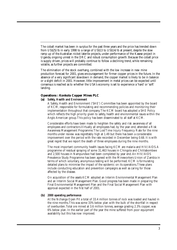The cobalt market has been in surplus for the past three years and the price has trended down from US\$25/lb in early 1998 to a range of US\$13 to US\$14/lb at present, despite the slow ramp up of the Australian nickel-laterite projects, under-performance of the Kasese project in Uganda, ongoing unrest in the DRC and robust consumption growth. Because the cobalt price is supply driven, prices will probably continue to follow a declining trend, while remaining volatile, as further projects are committed.

The elimination of the stock overhang, combined with the low increase in new mine production forecast for 2001, gives encouragement for firmer copper prices in the future. In the absence of a very significant slowdown in demand, the copper market is likely to be in balance or a slight deficit in 2001. However, little improvement in metal prices can be expected until consensus is reached as to whether the USA's economy is set to experience a 'hard' or 'soft' landing.

# **Operations : Konkola Copper Mines PLC**

### **(a)** *Safety, Health and Environment*

A Safety, Health and Environment ('SHE') Committee has been appointed by the board of KCM, responsible for formulating and recommending policies and monitoring their implementation throughout that company.The KCM board has adopted a SHE Policy which reflects the high priority given to safety, health and environmental issues within the Anglo American group.This policy has been disseminated to all staff at KCM.

Considerable efforts have been made to heighten the safety and risk awareness of all employees and contractors.Virtually all employees had, by the year-end, attended a Risk Awareness Management Programme.The Lost Time Injury Frequency Rate for the nine months under review was regrettably high at 1.49 but there has been a considerable improvement over the period with the rate recorded in December being 0.68. It is with great regret that we report the death of three employees during the nine months.

The most important community health issues facing KCM are malaria and HIV/AIDS.A programme of residual spraying of some 31,463 houses in Chingola and Chililabombwe and 2,500 houses in Nampundwe had been completed by year end.An HIV/AIDS Prevalence Study Programme has been agreed with the Mineworkers Union of Zambia in terms of which voluntary, anonymous testing will be performed. KCM is formulating detailed plans to minimise the impact of the epidemic on its operations.These plans include conducting education and prevention campaigns as well as caring for those affected by the disease.

On acquisition of the assets KCM adopted an Interim Environmental Management Plan and an Interim Social Management Plan. Good progress has been made in preparing the Final Environmental Management Plan and the Final Social Management Plan with approval expected in the first half of 2001.

### **(b)** *2000 operating performance*

At the Nchanga Open Pit a total of 33.4 million tonnes of rock was loaded and hauled in the nine months.This was some 33% below plan with the bulk of the shortfall in respect of overburden.Total ore mined at 3.6 million tonnes, average grading 2.3% copper, was 6% below plan. In the earlier part of the year the mine suffered from poor equipment availability but this has now improved.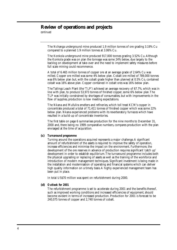# **Review of operations and projects**

*continued*

The Nchanga underground mine produced 1.9 million tonnes of ore grading 3.19% Cu compared to a planned 1.9 million tonnes at 3.06% Cu.

The Konkola underground mine produced 917,000 tonnes grading 3.52% Cu.Although the Konkola grade was on plan the tonnage was some 24% below, due largely to the backlog on development at take-over and the need to implement safety measures before full scale mining could recommence.

A total of 6.465 million tonnes of copper ore at an average grade of 2.64% Cu was milled. Copper ore milled was some 4% below plan. Cobalt ore milled of 789,000 tonnes was 6% below plan but, with the cobalt grade higher than planned at 0.5% Co, contained cobalt was 16% above plan. Copper contained in cobalt ores was 16% below plan.

The Tailings Leach Plant (the 'TLP') achieved an average recovery of 67.7%, which was in line with plan, to produce 53,973 tonnes of finished copper, some 6% below plan.The TLP was initially constrained by shortages of consumables, but with improvements in the flow of supplies, production is now meeting expectations.

The Nkana and Mufulira smelters and refineries, which toll treat KCM's copper in concentrate produced a total of 71,411 tonnes of finished copper which was some 22% below plan. Nkana experienced problems with its reverberatory furnaces which have resulted in a build-up of concentrate inventories.

The first table on page 6 summarises production for the nine months to December 31, 2000 and, there being no 1999 comparative numbers, compares production with the plan envisaged at the time of acquisition.

### **(c)** *Turnaround programme*

Turning around the operations acquired represents a major challenge.A significant amount of refurbishment of the assets is required to improve the safety of operation, increase efficiencies and minimise the impact on the environment. Furthermore, the development of the ore reserves in advance of production requires significant 'catch up' development in order to establish equilibrium.The turnaround programme includes both the physical upgrading or replacing of assets as well as the training of the workforce and introduction of modern management techniques. Significant investment is being made in the installation and modernisation of operating and financial systems which can deliver high quality information on a timely basis.A highly experienced management team has been put in place.

In total US\$70 million was spent on refurbishment during 2000.

### **(d)** *Outlook for 2001*

The refurbishment programme is set to accelerate during 2001 and the benefits thereof, such as improved working conditions and increased efficiencies of equipment, should become evident in terms of increased production. Production for 2001 is forecast to be 240,075 tonnes of copper and 2,740 tonnes of cobalt.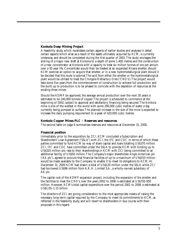# **Konkola Deep Mining Project**

A feasibility study, which revalidates certain aspects of earlier studies and analyses in detail certain aspects which arise as a result of the assets ultimately acquired by KCM, is currently underway and should be completed during the first quarter of 2001.The study envisages the sinking of a major new shaft at Konkola to a depth of some 1,400 metres and the construction of a new concentrator at Konkola with a capacity to treat six million tonnes of ore per annum over a 30 year life. Concentrate would then be treated at an expanded Nkana smelter, should KCM exercise an option to acquire that smelter, or in a new hydrometallurgical plant should it be decided that this route is optimal.The acid from either the smelter or the hydrometallurgical plant would be utilised to treat the Chingola Refractory Ores ('CRO's').The project would take some five years from the commencement of construction to achieve full production and the build up to production is to be phased to coincide with the depletion of resources at the existing three mines.

Should the KDMP be approved, the average annual production over the next 30 years is estimated to be 240,000 tonnes of copper.The project is scheduled to commence at the beginning of 2002, subject to approval and satisfactory financing being secured.The Konkola mine is one of the wettest in the world with some 290,000 cubic metres of water a day currently being pumped to surface.The planned increase in the size of the mine is expected to increase the daily pumping requirement to a peak of 420,000 cubic metres.

# **Konkola Copper Mines PLC – Reserves and resources**

The second table on page 6 summarises reserves and resources at December 31, 2000.

### **Financial position**

Immediately prior to the acquisition by ZCI, KCM concluded a Subscription and Shareholders' Loan Agreement ('SSLA') with ZCI, the IFC and CDC in terms of which these parties committed to fund KCM by way of share capital and loans totalling US\$370 million. ZCI, IFC and CDC have committed under the SSLA to provide KCM with funding up to US\$320 million pro rata to their shareholdings in KCM with ZCI being committed to an additional facility of US\$50 million. The Company's major shareholder, Anglo American plc ('AA plc'), agreed to procure that financial facilities of up to a maximum of US\$310 million would be made available to the Company to enable it to meet its obligations to KCM.At December 31, 2000 KCM had drawn a total of US\$120 million under the SSLA while ZCI had borrowed US\$96 million from A.R.H. Limited S.A., a wholly-owned subsidiary of AA plc.

The capital cost of the KDMP expansion project, including the expansion of the smelter and the facilities to treat the CRO's, over the years 2002 to 2006 is estimated at US\$750-850 million. However, KCM's total capital expenditure over the period 2001 to 2006 is estimated at US\$1.05–1.15 billion.

The directors of ZCI are giving consideration to the most appropriate means of raising the necessary long-term capital required by the Company to meet its commitments to KCM, as reflected in the feasibility study, and will revert to shareholders in due course with their proposals in this regard.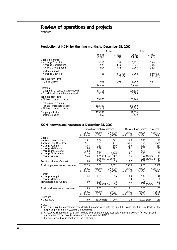# **Review of operations and projects**

*continued*

### **Production at KCM for the nine months to December 31, 2000**

|                                      |                         | Actual           | Plan                    |               |
|--------------------------------------|-------------------------|------------------|-------------------------|---------------|
|                                      | <b>Tonnes</b><br>(000t) | Grades<br>$(\%)$ | <b>Tonnes</b><br>(000t) | Grades<br>(%) |
| Copper ore mined                     |                         |                  |                         |               |
| – Nchanga Open Pit                   | 3,126                   | 2.33             | 2,621                   | 2.69          |
| - Nchanga Underground                | 1,926                   | 3.19             | 1,921                   | 3.06          |
| - Konkola Underground                | 917                     | 3.52             | 1,205                   | 3.52          |
| Cobalt ore mined                     |                         |                  |                         |               |
| – Nchanga Open Pit                   | 463                     | $0.41$ (Co)      | 1,208                   | $0.50$ (Co)   |
|                                      |                         | $1.78$ (Cu)      |                         | $1.81$ (Cu)   |
| Tailings Leach Plant                 |                         |                  |                         |               |
| - Tailings treated                   | 7,001                   | 1.06             | 9,900                   | 0.84          |
|                                      | Tonnes                  |                  | <b>Tonnes</b>           |               |
| Flotation                            |                         |                  |                         |               |
| - Copper in all concentrate produced | 93,711                  |                  | 106,336                 |               |
| – Cobalt in all concentrate produced | 3,129                   |                  | 2,683                   |               |
| Tailings Leach Plant                 |                         |                  |                         |               |
| - Finished copper produced           | 53,973                  |                  | 57,244                  |               |
| Smelting and Refining                |                         |                  |                         |               |
| - Tonnes concentrate treated         | 192,100                 |                  | 240,000                 |               |
| - Finished copper produced           | 71,411                  |                  | 92,090                  |               |
| Copper production                    | 125,385                 |                  | 149,334                 |               |
| Cobalt production                    | 1,659                   |                  | 1,432                   |               |
|                                      |                         |                  |                         |               |

### **KCM reserves and resources at December 31, 2000**

|                                     |                             | Proved and probable reserves |                   |                             |                 | Measured and indicated resources |
|-------------------------------------|-----------------------------|------------------------------|-------------------|-----------------------------|-----------------|----------------------------------|
|                                     | <b>Tonnes</b><br>(millions) | Grade<br>(% Cu)              | Cont.Cu<br>(000t) | <b>Tonnes</b><br>(millions) | Grade<br>(% Cu) | Cont.Cu<br>(000t)                |
| Copper                              |                             |                              |                   |                             |                 |                                  |
| Konkola current mine                | 16.2                        | 3.58                         | 582               | 1.6                         | 2.81            | 46                               |
| Konkola Deep Mine Project           | 91.1                        | 3.81                         | 3,471             | 47.6                        | 3.21            | 1,526                            |
| Nchanga open pit                    | 13.4                        | 2.31                         | 309               | 16.3                        | 1.62            | 264                              |
| Nchanga satellite pits              | 3.8                         | 2.78                         | 107               | 14.1                        | 2.07            | 293                              |
| Nchanga underground                 | 20.3                        | 2.63                         | 534               | 2.6                         | 4.68            | 120                              |
| Nchanga CRO dumps                   | 131.9                       | 0.87                         | 1.146             | 19.1                        | 0.87            | 166                              |
| Nchanga tailings                    | 95.4                        | $0.69$ (%TCu)                | 662               | 2.5                         |                 | 18<br>$0.74$ (%TCu)              |
|                                     |                             | 0.49 (%ASCu) 467             |                   |                             |                 | 14<br>$0.55$ (%ASCu)             |
| Transit stockpiles (Copper)         | 0.8                         | 1.66                         | 13                | 2.7                         | 1.06            | 28                               |
| Total copper reserves and resources | 372.9                       | 1.83                         | 6,822             | 106.5                       | 2.31            | 2,461                            |
|                                     | <b>Tonnes</b>               | Grade                        | Cont.Co           | <b>Tonnes</b>               | Grade           | Cont.Co                          |
|                                     | (millions)                  | $(\%$ Co)                    | (000t)            | (millions)                  | $(\%$ Co)       | (000t)                           |
| Cobalt                              |                             |                              |                   |                             |                 |                                  |
| Nchanga open pit                    | 2.4                         | 0.41                         | 10                | 8.5                         | 0.34            | 29                               |
| Nchanga satellite pits              |                             |                              |                   | 0.4                         | 0.23            | 1                                |
| Transit stockpiles (Cobalt)         | 0.9                         | 0.26                         | $\overline{c}$    | 0.1                         | 0.25            | 0.3                              |
|                                     |                             | 1.16 (%TCu)                  | 10                |                             |                 | $0.51$ (%TCu)<br>1               |
| Total cobalt reserves and resources | 3.3                         | 0.37                         | 12                | 9.1                         | 0.33            | 30                               |
|                                     | <b>Tonnes</b>               | Grade                        | Cont.S            | <b>Tonnes</b>               | Grade           | Cont.S                           |
|                                     | (millions)                  | (% S)                        | (000t)            | (millions)                  | (% S)           | (000t)                           |
| Pyrite ore<br>Nampundwe             | 6.9                         | 13.70 (%S)                   | 946               | 0.8                         | 17.20 (%S)      | 151                              |
|                                     |                             |                              |                   |                             |                 |                                  |

Notes

1. All reserves and resources have been classified in compliance with the SAMREC code (South African Code for the Reporting of Mineral Resources and Reserves).

2. A negative adjustment of 0.491 mt needs to be made to the total Konkola Reserve to account for overlaps and underlaps at the interface between current mine and the KDMP.

3. Resources stated are in addition to the Reserves.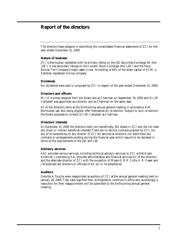# **Report of the directors**

The directors have pleasure in submitting the consolidated financial statements of ZCI for the year ended December 31, 2000.

# **Nature of business**

ZCI is Bermudian registered with its primary listing on the JSE Securities Exchange SA (the 'JSE'). It has secondary listings on the London Stock Exchange (the 'LSE') and the Paris Bourse.The Company's major asset is now its holding of 65% of the share capital of KCM, a Zambian registered mining company.

# **Dividends**

No dividends were paid or proposed by ZCI in respect of the year ended December 31, 2000.

# **Directors and officers**

Mr J A Holmes resigned from the Board and as Chairman on September 19, 2000 and Dr J W Campbell was appointed as a director and as Chairman on the same date.

All of the directors retire at the forthcoming annual general meeting in accordance with Bermudian law and, being eligible, offer themselves for re-election. Subject to such re-election the Board proposes to re-elect Dr J W Campbell as Chairman.

# **Directors' interests**

At December 31, 2000 the directors held, non-beneficially, 301 shares in ZCI and did not have any direct or indirect beneficial interests.There are no service contracts granted by ZCI, nor any of its subsidiaries, to any director of ZCI for services as directors, nor were there any contracts or arrangements existing during the financial year which require to be declared in terms of the requirements of the JSE and LSE.

# **Advisory services**

AAC provides various services, including technical advisory services, to ZCI whilst Anglo American Luxembourg S.A. provides administrative and financial services.All of the directors and the alternate director of ZCI with the exception of Messrs G B R Collis, H R Fraser and J Macdonald are directors or officials of AA plc or its subsidiaries.

# **Auditors**

Deloitte & Touche were reappointed as auditors of ZCI at the annual general meeting held on January 26, 2000.They have signified their willingness to continue in office and, accordingly, a resolution for their reappointment will be submitted to the forthcoming annual general meeting.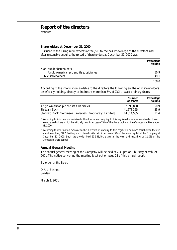# **Report of the directors**

*continued*

### **Shareholders at December 31, 2000**

Pursuant to the listing requirements of the JSE, to the best knowledge of the directors, and after reasonable enquiry, the spread of shareholders at December 31, 2000 was:

|                                         | Percentage<br>holding |
|-----------------------------------------|-----------------------|
| Non-public shareholders                 |                       |
| Anglo American plc and its subsidiaries | 50.9                  |
| Public shareholders                     | 49.1                  |
|                                         | 100.0                 |

According to the information available to the directors, the following are the only shareholders beneficially holding, directly or indirectly, more than 5% of ZCI's issued ordinary shares:

|                                                           | <b>Number</b><br>of shares | <b>Percentage</b><br>holding |
|-----------------------------------------------------------|----------------------------|------------------------------|
| Anglo American plc and its subsidiaries                   | 62,390,860                 | 50.9                         |
| Sicovam $S.A.*$                                           | 41,573,355                 | 33.9                         |
| Standard Bank Nominees (Transvaal) (Proprietary) Limited† | 14,014,585                 | 11.4                         |

\*According to information available to the directors on enquiry to this registered nominee shareholder, there are no shareholders which beneficially held in excess of 5% of the share capital of the Company at December 31, 2000.

†According to information available to the directors on enquiry to this registered nominee shareholder, there is one shareholder, BNP Paribas, which beneficially held in excess of 5% of the share capital of the Company at December 31, 2000. Such shareholder held 13,541,401 shares at the year end, equating to 11.0% of the Company's share capital.

### **Annual General Meeting**

The annual general meeting of the Company will be held at 2.30 pm on Thursday, March 29, 2001.The notice convening the meeting is set out on page 23 of this annual report.

By order of the Board

D A L Bennett *Secretary*

March 1, 2001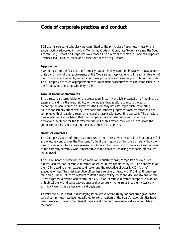# **Code of corporate practices and conduct**

ZCI and its operating subsidiary are committed to the principles of openness, integrity and accountability advocated in the UK Combined Code on Corporate Governance and the South African King Report on Corporate Governance.The directors endorse the Code of Corporate Practices and Conduct (the 'Code'), as set out in the King Report.

# **Application**

Having regard to the fact that the Company has no employees or administrative infrastructure of its own, many of the requirements of the Code are not applicable to it.The administration of the Company is provided by subsidiaries of AA plc, which endorses the principles of the Code. The Company has taken appropriate steps to implement procedures to ensure compliance with the Code by its operating subsidiary KCM.

# **Annual financial statements**

The directors are responsible for the preparation, integrity and fair presentation of the financial statements and it is the responsibility of the independent auditors to report thereon. In preparing the annual financial statements the Company has used appropriate accounting policies consistently, supported by reasonable and prudent judgements and estimates and has complied with all statutory requirements and all applicable accounting standards.The directors have a reasonable expectation that the Company has adequate resources to continue in operational existence for the foreseeable future. For this reason, they continue to adopt the going-concern basis in preparing the annual financial statements.

# **Board of directors**

The Company's board of directors comprises ten non-executive directors.The Board retains full and effective control over the Company.To fulfil their responsibilities, the Company's board of directors has access to accurate, relevant and timely information and to the advice and services of the company secretary who is responsible to the board for ensuring that board procedures are followed.

The KCM board of directors, which meets on a quarterly basis, comprises one executive director and ten non-executive directors, of which six are appointed by ZCI.The chairman of the KCM board is a non-executive director and the executive director is KCM's chief executive officer.The chief executive officer has a service contract with KCM, with one year remaining.The KCM board reserves to itself a range of key issues and decisions to ensure that it retains proper direction and control of KCM. Non-executive directors comprise individuals of high calibre with diverse backgrounds and expertise which ensures that their views carry significant weight in deliberations and decisions.

To assist the KCM board in discharging its collective responsibility for corporate governance, several committees have been established to which certain of the board's responsibilities have been delegated.These committees all have specific terms of reference and are accountable to the board.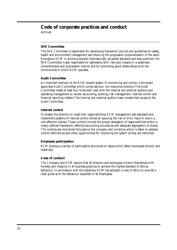# **Code of corporate practices and conduct**

*continued*

# **SHE Committee**

The SHE Committee is responsible for developing framework policies and guidelines for safety, health and environment management and ensuring the progressive implementation of the same throughout KCM in working towards internationally accepted standards and best practices.The SHE Committee is also responsible for addressing SHE risks and impacts in a systematic, comprehensive and businesslike manner and for promoting good relationships with the communities in which KCM operates.

# **Audit Committee**

An important element of the KCM board's system of monitoring and control is the board appointed Audit Committee which comprises four non-executive directors.The Audit Committee meets at least four times each year with the internal and external auditors and operating management to review accounting, auditing, risk management, internal control and financial reporting matters.The internal and external auditors have unrestricted access to the Audit Committee.

# **Internal control**

To enable the directors to meet their responsibilities, KCM management sets standards and implements systems of internal control aimed at reducing the risk of error, fraud or loss in a cost effective manner.These controls include the proper delegation of responsibilities within a clearly defined framework, effective accounting procedures and adequate segregation of duties. The controls are monitored throughout the company and corrective action is taken to address control deficiencies and other opportunities for improving the system as they are identified.

# **Employee participation**

KCM employs a variety of participative structures on issues which affect employees directly and materially.

# **Code of conduct**

The Company and KCM require that all directors and employees conduct themselves with honesty and integrity in all business practices to achieve the highest standard of ethical behaviour. In accordance with this objective, KCM has adopted a code of ethics to provide a clear guide as to the behaviour expected of all employees.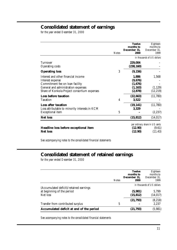# **Consolidated statement of earnings**

*for the year ended December 31, 2000*

|                                                                                                                                                                                   | <b>Notes</b> | <b>Twelve</b><br>months to<br>December 31.<br>2000 | Eighteen<br>months to<br>December 31.<br>1999       |
|-----------------------------------------------------------------------------------------------------------------------------------------------------------------------------------|--------------|----------------------------------------------------|-----------------------------------------------------|
|                                                                                                                                                                                   |              |                                                    | in thousands of US dollars                          |
| Turnover<br>Operating costs                                                                                                                                                       |              | 229,004<br>(238, 160)                              |                                                     |
| <b>Operating loss</b>                                                                                                                                                             | 3            | (9, 156)                                           |                                                     |
| Interest and other financial income<br>Interest expense<br>Commitment fee on loan facility<br>General and administration expenses<br>Share of Konkola Project consortium expenses |              | 1,886<br>(9,676)<br>(1,676)<br>(1, 163)<br>(2,878) | 1,568<br>(1, 129)<br>(12, 219)                      |
| Loss before taxation<br>Taxation                                                                                                                                                  | 4            | (22, 663)<br>3,522                                 | (11,780)                                            |
| <b>Loss after taxation</b><br>Loss attributable to minority interests in KCM<br>Exceptional item                                                                                  | 5            | (19, 141)<br>3,329                                 | (11,780)<br>(2, 237)                                |
| <b>Net loss</b>                                                                                                                                                                   |              | (15, 812)                                          | (14, 017)                                           |
| Headline loss before exceptional item<br><b>Net loss</b>                                                                                                                          |              | (12.90)<br>(12.90)                                 | per ordinary share in US cents<br>(9.61)<br>(11.43) |

*See accompanying notes to the consolidated financial statements*

# **Consolidated statement of retained earnings**

*for the year ended December 31, 2000*

|                                          | <b>Notes</b> | <b>Twelve</b><br>months to<br>December 31,<br>2000 | Eighteen<br>months to<br>December 31.<br>1999 |
|------------------------------------------|--------------|----------------------------------------------------|-----------------------------------------------|
| (Accumulated deficit)/retained earnings  |              |                                                    | in thousands of US dollars                    |
| at beginning of the period               |              | (5, 981)                                           | 5,799                                         |
| Net loss                                 |              | (15, 812)                                          | (14, 017)                                     |
|                                          |              | (21, 793)                                          | (8, 218)                                      |
| Transfer from contributed surplus        | 5            |                                                    | 2,237                                         |
| Accumulated deficit at end of the period |              | (21, 793)                                          | (5,981)                                       |

*See accompanying notes to the consolidated financial statements*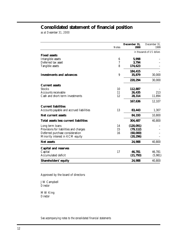# **Consolidated statement of financial position**

*as at December 31, 2000*

|                                              | <b>Notes</b>    | December 31,<br>2000 | December 31,<br>1999       |
|----------------------------------------------|-----------------|----------------------|----------------------------|
|                                              |                 |                      | in thousands of US dollars |
| <b>Fixed assets</b>                          |                 |                      |                            |
| Intangible assets                            | $6\phantom{1}6$ | 5,998                |                            |
| Deferred tax asset                           | 7               | 3,794                |                            |
| Tangible assets                              | 8               | 174,623              |                            |
|                                              |                 | 184,415              |                            |
| <b>Investments and advances</b>              | 9               | 35,879               | 30,000                     |
|                                              |                 | 220,294              | 30,000                     |
| <b>Current assets</b>                        |                 |                      |                            |
| <b>Stocks</b>                                | 10              | 112,887              |                            |
| Accounts receivable                          | 11              | 26,435               | 213                        |
| Cash and short-term investments              | 12              | 28,314               | 11,894                     |
|                                              |                 | 167,636              | 12,107                     |
| <b>Current liabilities</b>                   |                 |                      |                            |
| Accounts payable and accrued liabilities     | 13              | 83,443               | 1,307                      |
| Net current assets                           |                 | 84,193               | 10,800                     |
| <b>Total assets less current liabilities</b> |                 | 304,487              | 40,800                     |
| Long term loans                              | 14              | (120, 091)           |                            |
| Provisions for liabilities and charges       | 15              | (79, 112)            |                            |
| Deferred purchase consideration              | 16              | (60,000)             |                            |
| Minority interest in KCM equity              |                 | (20, 296)            |                            |
| Net assets                                   |                 | 24,988               | 40,800                     |
| <b>Capital and reserves</b>                  |                 |                      |                            |
| Capital                                      | 17              | 46,781               | 46,781                     |
| Accumulated deficit                          |                 | (21, 793)            | (5,981)                    |
| <b>Shareholders' equity</b>                  |                 | 24,988               | 40,800                     |

Approved by the board of directors:

J W Campbell *Director*

M W King *Director*

*See accompanying notes to the consolidated financial statements*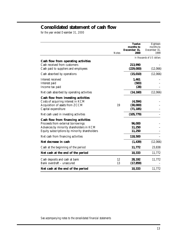# **Consolidated statement of cash flow**

*for the year ended December 31, 2000*

|                                                                                                                                                                       | <b>Notes</b> | <b>Twelve</b><br>months to<br>December 31,<br><b>2000</b> | Eighteen<br>months to<br>December 31.<br>1999 |
|-----------------------------------------------------------------------------------------------------------------------------------------------------------------------|--------------|-----------------------------------------------------------|-----------------------------------------------|
|                                                                                                                                                                       |              |                                                           | in thousands of US dollars                    |
| Cash flow from operating activities<br>Cash received from customers<br>Cash paid to suppliers and employees                                                           |              | 213,990<br>(229,000)                                      | (12,066)                                      |
| Cash absorbed by operations                                                                                                                                           |              | (15,010)                                                  | (12,066)                                      |
| Interest received<br>Interest paid<br>Income tax paid                                                                                                                 |              | 1,461<br>(583)<br>(28)                                    |                                               |
| Net cash absorbed by operating activities                                                                                                                             |              | (14, 160)                                                 | (12,066)                                      |
| Cash flow from investing activities<br>Costs of acquiring interest in KCM<br>Acquisition of assets from ZCCM<br>Capital expenditure                                   | 19           | (4,594)<br>(30,000)<br>(71, 185)                          |                                               |
| Net cash used in investing activities                                                                                                                                 |              | (105, 779)                                                |                                               |
| Cash flow from financing activities<br>Proceeds from external borrowings<br>Advances by minority shareholders in KCM<br>Equity subscriptions by minority shareholders |              | 96,000<br>11,250<br>11,250                                |                                               |
| Net cash from financing activities                                                                                                                                    |              | 118,500                                                   |                                               |
| Net decrease in cash                                                                                                                                                  |              | (1, 439)                                                  | (12,066)                                      |
| Cash at the beginning of the period                                                                                                                                   |              | 11,772                                                    | 23,838                                        |
| Net cash at the end of the period                                                                                                                                     |              | 10,333                                                    | 11,772                                        |
| Cash deposits and cash at bank<br>Bank overdraft - unsecured                                                                                                          | 12<br>13     | 28,192<br>(17, 859)                                       | 11,772                                        |
| Net cash at the end of the period                                                                                                                                     |              | 10,333                                                    | 11,772                                        |

*See accompanying notes to the consolidated financial statements*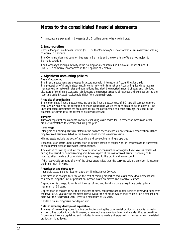# **Notes to the consolidated financial statements**

*All amounts are expressed in thousands of US dollars unless otherwise indicated*

### **1. Incorporation**

Zambia Copper Investments Limited ('ZCI' or the 'Company') is incorporated as an investment holding company in Bermuda.

The Company does not carry on business in Bermuda and therefore its profits are not subject to Bermuda taxation.

The Company's principal activity is the holding of a 65% interest in Konkola Copper Mines PLC ('KCM'), a company incorporated in the Republic of Zambia.

### **2. Significant accounting policies**

#### *Basis of accounting*

The financial statements are prepared in accordance with International Accounting Standards. The preparation of financial statements in conformity with International Accounting Standards requires management to make estimates and assumptions that affect the reported amount of assets and liabilities, disclosure of contingent assets and liabilities and the reported amount of revenues and expenses during the reporting period.Actual results could differ from those estimates.

#### *Principles of consolidation*

The consolidated financial statements include the financial statements of ZCI and all companies more than 50% owned with the exception of those subsidiaries which are considered to be immaterial.The unconsolidated subsidiaries are accounted for by the cost method and their earnings included in the statement of earnings to the extent of dividends received.

#### *Turnover*

Turnover represent the amounts invoiced, excluding value added tax, in respect of metals and other products despatched to customers during the year.

#### *Fixed assets*

Intangible and mining assets are stated in the balance sheet at cost less accumulated amortisation. Other tangible fixed assets are stated in the balance sheet at cost less depreciation.

Mining assets include the cost of acquiring and developing mining properties.

Expenditure on assets under construction is initially shown as capital work in-progress and is transferred to the relevant class of asset when commissioned.

The cost of borrowings utilised for the acquisition or construction of tangible fixed assets is capitalised during the period to commissioning and shown as part of the cost of fixed assets. Borrowing costs incurred after the date of commissioning are charged to the profit and loss account.

If the recoverable amount of any of the above assets is less than the carrying value, a provision is made for the impairment in value.

#### *Amortisation and depreciation*

Intangible assets are amortised on a straight-line basis over 20 years.

Amortisation is charged to write off the cost of mining properties and leases, mine developments and equipment using the unit of production method based on proven and probable reserves.

Depreciation is charged to write off the cost of land and buildings on a straight line basis up to a maximum of 50 years.

Depreciation is charged to write off the cost of plant, equipment and motor vehicles at varying rates, over the lower of 20 years or the estimated useful lives of the mines to which they relate, or on a straight-line basis over their estimated useful lives to a maximum of 15 years.

Capital work in-progress is not depreciated.

#### *Deferred secondary development expenditure*

The cost of developing access to mine ore bodies during the commercial production stage is normally written off as production costs. However, where such costs are significant and are identified as benefiting future years, they are capitalised and included in mining assets and expensed in the year when the related production is achieved.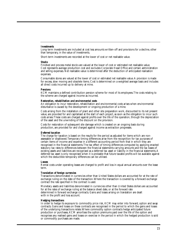#### *Investments*

Long-term investments are included at cost less amounts written-off and provisions for a decline, other than temporary, in the value of investments.

Short-term investments are recorded at the lower of cost or net realisable value.

#### *Stocks*

Finished and process metal stocks are valued at the lower of cost or estimated net realisable value. Cost represents average production cost and excludes Corporate Head Office and certain administration and selling expenses. Net realisable value is determined after the deduction of anticipated realisation expenses.

Consumable stores are valued at the lower of cost or estimated net realisable value.A provision is made for excess, slow moving and obsolete items. Cost is determined on a weighted average basis and includes all direct costs incurred up to delivery at mine.

#### *Pensions*

KCM maintains a defined contribution pension scheme for most of its employees.The costs relating to the scheme are charged against income as incurred.

#### *Restoration, rehabilitation and environmental costs*

An obligation to incur restoration, rehabilitation and environmental costs arises when environmental disturbance is caused by the development or ongoing production of a mine.

Costs arising from the installation of plant and other site preparation work, discounted to its net present value, are provided for and capitalised at the start of each project, as soon as the obligation to incur such costs arises.These costs are charged against profits over the life of the operation, through the depreciation of the asset and the unwinding of the discount on the provision.

Costs for restoration of subsequent site damage which is created on an ongoing basis during production, are provided for and charged against income as extraction progresses.

#### *Deferred taxation*

The charge for taxation is based on the results for the period as adjusted for items which are nonassessable or disallowed.Temporary timing differences arise from the recognition for tax purposes of certain items of income and expense in a different accounting period from that in which they are recognised in the financial statements.The tax effect of timing differences computed by applying enacted statutory tax rates to differences between the financial statements carrying amounts and the tax bases of existing assets and liabilities are recognised as a deferred tax asset or liability in the financial statements.A deferred tax asset is only recognised when it is probable that future taxable profits will be available against which the deductible temporary differences can be utilised.

#### *Leases*

Rental costs under operating leases are charged to profit and loss in equal annual amounts over the lease term.

#### *Translation of foreign currencies*

Transactions denominated in currencies other than United States dollars are accounted for at the rate of exchange ruling on the date of the transaction.Where the transaction is covered by a forward exchange contract the rate specified in the contract is used.

Monetary assets and liabilities denominated in currencies other than United States dollars are accounted for at the rates of exchange ruling at the balance sheet date, or at the forward rate determined in forward exchange contracts. Gains and losses arising on translation are dealt with in the profit and loss account.

#### *Hedging transactions*

In order to hedge its exposure to commodity price risk, KCM may enter into forward, option and swap contracts. Gains and losses on these contracts are recognised in the period to which the gains and losses of the underlying transactions relate.Where commodity option contracts hedge anticipated future production or purchases, KCM amortises the option premiums paid over the life of the option and recognises any realised gains and losses on exercise in the period in which the hedged production is sold or commodity purchases are made.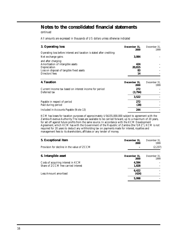# **Notes to the consolidated financial statements**

*continued*

*All amounts are expressed in thousands of US dollars unless otherwise indicated*

| 3. Operating loss                                                                                                     | December 31.<br><b>2000</b> | December 31.<br>1999 |
|-----------------------------------------------------------------------------------------------------------------------|-----------------------------|----------------------|
| Operating loss before interest and taxation is stated after crediting:<br>Net exchange gains                          | 3.084                       |                      |
| and after charging:<br>Amortisation of intangible assets<br>Depreciation<br>Loss on disposal of tangible fixed assets | 424<br>20,815<br>83         |                      |
| Directors' fees                                                                                                       | 14                          |                      |

| <b>4. Taxation</b>                                                     | December 31.<br>2000 | December 31.<br>1999 |
|------------------------------------------------------------------------|----------------------|----------------------|
| Current Income tax based on interest income for period<br>Deferred tax | 272<br>(3,794)       |                      |
|                                                                        | 3.522                |                      |
| Payable in respect of period<br>Paid during period                     | 272<br>(28)          |                      |
| Included in Accounts Payable (Note 13)                                 | 244                  |                      |

KCM has losses for taxation purposes of approximately US\$155,000,000 subject to agreement with the Zambia Revenue Authority.The losses are available to be carried forward, up to a maximum of 20 years, for set off against future profits from the same source. In accordance with the KCM Development Agreement, which KCM has with the Government of the Republic of Zambia (the 'GRZ'), KCM is not required for 20 years to deduct any withholding tax on payments made for interest, royalties and management fees to its shareholders, affiliates or any lender of money.

| 5. Exceptional item                                                       | December 31.<br>2000 | December 31.<br>1999 |
|---------------------------------------------------------------------------|----------------------|----------------------|
| Provision for decline in the value of ZCCM                                |                      | (2, 237)             |
| 6. Intangible asset                                                       | December 31.<br>2000 | December 31.<br>1999 |
| Costs of acquiring interest in KCM<br>Share of ZCCM free carried interest | 4,594<br>1,828       |                      |
| Less: Amount amortised                                                    | 6,422<br>(424)       |                      |
|                                                                           | 5,998                |                      |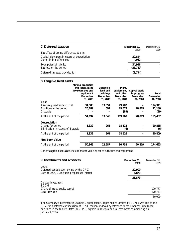| 7. Deferred taxation                                                     | December 31.<br>2000 | December 31.<br>1999 |
|--------------------------------------------------------------------------|----------------------|----------------------|
| Tax effect of timing differences due to:                                 |                      |                      |
| Capital allowances in excess of depreciation<br>Other timing differences | 30.894<br>4,062      |                      |
| Total potential liability<br>Tax loss for the period                     | 34.956<br>(38, 750)  |                      |
| Deferred tax asset provided for                                          | (3,794)              |                      |

# **8.Tangible fixed assets**

|                                                                                 | <b>Mining properties</b><br>and leases, mine<br>developments and<br>equipment<br><b>December</b><br>31, 2000 | Leasehold<br>land and<br>buildings<br><b>December</b><br>31, 2000 | Plant.<br>equipment,<br>and other<br><b>December</b><br>31, 2000 | Capital work<br>in progress<br><b>December</b><br>31, 2000 | <b>Total</b><br><b>December</b><br>31, 2000 |
|---------------------------------------------------------------------------------|--------------------------------------------------------------------------------------------------------------|-------------------------------------------------------------------|------------------------------------------------------------------|------------------------------------------------------------|---------------------------------------------|
| Cost                                                                            |                                                                                                              |                                                                   |                                                                  |                                                            |                                             |
| Assets acquired from ZCCM<br>Additions in the period                            | 31,508<br>20,189                                                                                             | 13,051<br>597                                                     | 79,782<br>29,575                                                 | 20,819                                                     | 124,341<br>71,180                           |
| <b>Disposals</b>                                                                |                                                                                                              |                                                                   | (89)                                                             |                                                            | (89)                                        |
| At the end of the period                                                        | 51,697                                                                                                       | 13,648                                                            | 109,268                                                          | 20,819                                                     | 195,432                                     |
| <b>Depreciation</b><br>Charge for period<br>Elimination in respect of disposals | 1,332                                                                                                        | 961                                                               | 18,522<br>(6)                                                    |                                                            | 20,815<br>(6)                               |
| At the end of the period                                                        | 1,332                                                                                                        | 961                                                               | 18,516                                                           |                                                            | 20,809                                      |
| <b>Net Book Value</b>                                                           |                                                                                                              |                                                                   |                                                                  |                                                            |                                             |
| At the end of the period                                                        | 50,365                                                                                                       | 12,687                                                            | 90,752                                                           | 20,819                                                     | 174,623                                     |
|                                                                                 |                                                                                                              |                                                                   |                                                                  |                                                            |                                             |

Other tangible fixed assets include motor vehicles, office furniture and equipment.

| 9. Investments and advances                  | December 31.<br>2000 | December 31.<br>1999 |
|----------------------------------------------|----------------------|----------------------|
| Loans                                        |                      |                      |
| Deferred consideration owing by the GRZ      | 30,000               |                      |
| Loan to ZCCM, including capitalised interest | 5,879                |                      |
|                                              | 35,879               |                      |
| Quoted investment                            |                      |                      |
| <b>ZCCM</b>                                  |                      |                      |
| 27.3% of issued equity capital               |                      | 100,777              |
| Less: Provision                              |                      | (70, 777)            |
|                                              |                      | 30,000               |

The Company's investment in Zambia Consolidated Copper Mines Limited ('ZCCM') was sold to the GRZ for a deferred consideration of US\$30 million (indexed by reference to the Producer Price Index published in the United States ('US PPI')) payable in six equal annual instalments commencing on January 1, 2006.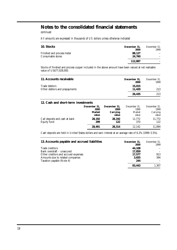# **Notes to the consolidated financial statements**

*continued*

*All amounts are expressed in thousands of US dollars unless otherwise indicated*

| 10. Stocks                                      | December 31,<br><b>2000</b> | December 31.<br>1999 |
|-------------------------------------------------|-----------------------------|----------------------|
| Finished and process metal<br>Consumable stores | 88.127<br>24.760            |                      |
|                                                 | 112,887                     |                      |

Stocks of finished and process copper included in the above amount have been valued at net realisable value of US\$77,028,000.

| 11. Accounts receivable                        | December 31,<br>2000 | December 31.<br>1999 |
|------------------------------------------------|----------------------|----------------------|
| Trade debtors<br>Other debtors and prepayments | 15.015<br>11.420     | 213                  |
|                                                | 26.435               | 213                  |

### **12. Cash and short-term investments**

|                                | December 31,  | December 31, | December 31. | December 31. |
|--------------------------------|---------------|--------------|--------------|--------------|
|                                | <b>2000</b>   | <b>2000</b>  | 1999         | 1999         |
|                                | <b>Market</b> | Carrying     | Market       | Carrying     |
|                                | value         | value        | value        | value        |
| Call deposits and cash at bank | 28.192        | 28.192       | 11.772       | 11,772       |
| Equity fund                    | 299           | 122          | 370          | 122          |
|                                | 28,491        | 28.314       | 12.142       | 11,894       |

Cash deposits are held in United States dollars and earn interest at an average rate of 6.2% (1999: 5.5%).

| 13. Accounts payable and accrued liabilities | December 31,<br><b>2000</b> | December 31.<br>1999 |
|----------------------------------------------|-----------------------------|----------------------|
| Trade creditors                              | 44.108                      |                      |
| Bank overdraft – unsecured                   | 17,859                      |                      |
| Other creditors and accrued expenses         | 17.577                      | 913                  |
| Amounts due to related companies             | 3,655                       | 394                  |
| Taxation payable (Note 4)                    | 244                         |                      |
|                                              | 83.443                      | 1,307                |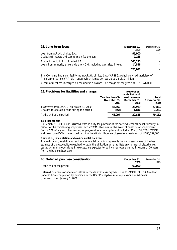| 14. Long term loans                                                                                          | December 31.<br>2000 | December 31,<br>1999 |
|--------------------------------------------------------------------------------------------------------------|----------------------|----------------------|
| Loan from A.R.H. Limited S.A.<br>Capitalised interest and commitment fee thereon                             | 96.000<br>9.235      |                      |
| Amount due to A.R.H. Limited S.A.<br>Loans from minority shareholders to KCM, including capitalised interest | 105.235<br>14,856    |                      |
|                                                                                                              | 120.091              |                      |

The Company has a loan facility from A.R.H. Limited S.A. ('ARH'), a wholly-owned subsidiary of Anglo American plc ('AA plc'), under which it may borrow up to US\$310 million.

A commitment fee is charged on the undrawn balance.The charge for the year was US\$1,676,000.

| 15. Provisions for liabilities and charges                                              | <b>Terminal benefits</b><br>December 31,<br><b>2000</b> | Restoration,<br>rehabilitation &<br>environmental<br>December 31.<br>2000 | <b>Total</b><br>December 31.<br>2000 |
|-----------------------------------------------------------------------------------------|---------------------------------------------------------|---------------------------------------------------------------------------|--------------------------------------|
| Transferred from ZCCM on March 31, 2000<br>Charged to operating costs during the period | 48.862<br>(565)                                         | 28.969<br>1,846                                                           | 77,831<br>1,281                      |
| At the end of the period                                                                | 48.297                                                  | 30.815                                                                    | 79,112                               |

#### *Terminal benefits*

On March 31, 2000 KCM assumed responsibility for payment of the accrued terminal benefit liability in respect of the transferring employees from ZCCM. However, in the event of cessation of employment from KCM of any such transferring employees at any time up to, and including March 31, 2001, ZCCM shall reimburse KCM the accrued terminal benefits for those employees to a maximum of US\$5,532,000.

#### *Restoration, rehabilitation and environmental liabilities*

The restoration, rehabilitation and environmental provision represents the net present value of the best estimate of the expenditure required to settle the obligation to rehabilitate environmental disturbances caused by mining operations.These costs are expected to be incurred over a period in excess of 20 years from the balance sheet date.

| 16. Deferred purchase consideration | December 31.<br>2000 | December 31.<br>1999. |
|-------------------------------------|----------------------|-----------------------|
| At the end of the period            | 60.000               |                       |

Deferred purchase consideration relates to the deferred cash payments due to ZCCM of US\$60 million (indexed from completion by reference to the US PPI) payable in six equal annual instalments commencing on January 1, 2006.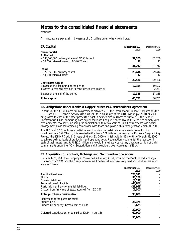# **Notes to the consolidated financial statements**

*continued*

*All amounts are expressed in thousands of US dollars unless otherwise indicated*

| 17. Capital                                                                                                                        | December 31. | December 31.       |
|------------------------------------------------------------------------------------------------------------------------------------|--------------|--------------------|
| Share capital<br><b>Authorised</b>                                                                                                 | 2000         | 1999               |
| $-130,000,000$ ordinary shares of BD\$0.24 each<br>- 50,000 deferred shares of BD\$0.24 each                                       | 31,200<br>12 | 31,200<br>12       |
|                                                                                                                                    | 31,212       | 31,212             |
| <i>Issued</i><br>$-122,559,900$ ordinary shares<br>$-50,000$ deferred shares                                                       | 29,414<br>12 | 29.414<br>12       |
|                                                                                                                                    | 29,426       | 29,426             |
| <b>Contributed surplus</b><br>Balance at the beginning of the period<br>Transfer to retained earnings to meet deficit (see Note 5) | 17,355       | 19,592<br>(2, 237) |
| Balance at the end of the period                                                                                                   | 17,355       | 17,355             |
| <b>Total capital</b>                                                                                                               | 46,781       | 46,781             |

#### **18. Obligations under Konkola Copper Mines PLC shareholders' agreement**

In terms of the KCM Consortium Agreement between ZCI, the International Finance Corporation (the 'IFC') and CDC Financial Services (Mauritius) Ltd, a subsidiary of the CDC Group plc ('CDC'), ZCI has granted to each of the other parties the right in defined circumstances to put to ZCI their entire investments in KCM, comprising both equity and loans.The put is exercisable if KCM fails to comply with environmental covenants, including the completion within two years of Final Environmental and Social Management Plans and achieving compliance with those final plans within three years of March 31, 2000.

The IFC and CDC each has a partial redemption right in certain circumstances in respect of its investment in KCM.The right is exercisable if either KCM fails to commence the Konkola Deep Mining Project (the 'KDMP') within 5 years of March 31, 2000 or it fails within 42 months of March 31, 2000 to achieve defined levels of production and operating costs. Redemption would entail the reduction in each of their investments to US\$10 million and would immediately cancel any undrawn portion of their commitments under the KCM Subscription and Shareholders' Loan Agreement ('SSLA').

#### **19. Acquisition of Konkola, Nchanga and Nampundwe operations**

On March 31, 2000 the Company's 65% owned subsidiary, KCM, acquired the Konkola and Nchanga Divisions of ZCCM and the Nampundwe mine.The fair value of assets acquired and liabilities assumed were as follows:

|                                                     | December 31. | December 31. |
|-----------------------------------------------------|--------------|--------------|
|                                                     | <b>2000</b>  | 1999         |
| Tangible fixed assets                               | 124,341      |              |
| <b>Stocks</b>                                       | 54.268       |              |
| Current liabilities                                 | (3,278)      |              |
| Terminal benefit liability                          | (48, 862)    |              |
| Restoration and environmental liabilities           | (28,969)     |              |
| Discount on fair value of assets acquired from ZCCM | (7,500)      |              |
| Total purchase consideration                        | 90,000       |              |
| Settlement of the purchase price:                   |              |              |
| Funded by ZCI                                       | 24,375       |              |
| Funded by minority shareholders of KCM              | 5,625        |              |
|                                                     | 30,000       |              |
| Deferred consideration to be paid by KCM (Note 16)  | 60,000       |              |
|                                                     | 90,000       |              |
|                                                     |              |              |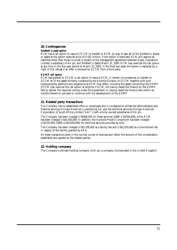# **20. Contingencies**

#### *SmelterCo asset option*

KCM has a call option to require ZCCM to transfer to KCM, by way of sale, all of the SmelterCo shares or assets at the option exercise price of US\$7 million. If the option is exercised, KCM will assume all liabilities other than those incurred in breach of the management agreement between Anglo Operations Limited, a subsidiary of AA plc, and SmelterCo dated March 31, 2000. KCM may exercise the call option at any time in the five year period to March 31, 2005. In the final two years the option is replaced by a right of first refusal if an offer is received by ZCCM from a third party.

### *KDMP call option*

KCM has granted to ZCCM a call option to require KCM, in certain circumstances, to transfer to ZCCM all of the assets formerly constituting the Konkola Division of ZCCM together with such improvements, additions and expansions as KCM may effect, including the assets comprising the KDMP. ZCCM may exercise the call option at anytime if KCM, not having raised the finance for the KDMP, fails to deliver the required notices under the Agreement, or, having raised the finance fails within six months thereof to proceed or continue with the development of the KDMP.

### **21. Related party transactions**

The Company has no established office or employees and in consequence utilises the administrative and financial services of Anglo American Luxembourg S.A. and the technical services of Anglo American Corporation of South Africa Limited ('AAC'), both wholly-owned subsidiaries of AA plc.

The Company has been charged US\$369,000 for these services (1999: US\$769,000), while KCM has been charged US\$5,593,000. In addition, the Konkola Project Consortium has been charged US\$745,000 (1999: US\$4,830,000) for technical services provided by AAC.

The Company has been charged US\$3,100,000 as a facility fee and US\$1,676,000 as a commitment fee in respect of the facility granted by ARH.

All these transactions were in the normal course of business and reflect the amount of the consideration established and agreed by the related parties.

### **22. Holding company**

The Company's ultimate holding company is AA plc, a company incorporated in the United Kingdom.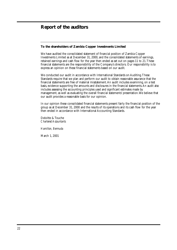# **Report of the auditors**

# **To the shareholders of Zambia Copper Investments Limited**

We have audited the consolidated statement of financial position of Zambia Copper Investments Limited as at December 31, 2000, and the consolidated statements of earnings, retained earnings and cash flow for the year then ended as set out on pages 11 to 21.These financial statements are the responsibility of the Company's directors. Our responsibility is to express an opinion on these financial statements based on our audit.

We conducted our audit in accordance with International Standards on Auditing.These Standards require that we plan and perform our audit to obtain reasonable assurance that the financial statements are free of material misstatement.An audit includes examining, on a test basis, evidence supporting the amounts and disclosures in the financial statements. An audit also includes assessing the accounting principles used and significant estimates made by management, as well as evaluating the overall financial statements' presentation.We believe that our audit provides a reasonable basis for our opinion.

In our opinion these consolidated financial statements present fairly the financial position of the group as at December 31, 2000 and the results of its operations and its cash flow for the year then ended in accordance with International Accounting Standards.

Deloitte & Touche *Chartered Accountants*

*Hamilton, Bermuda*

March 1, 2001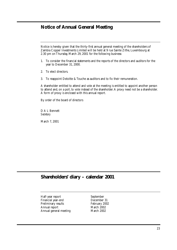# **Notice of Annual General Meeting**

Notice is hereby given that the thirty-first annual general meeting of the shareholders of Zambia Copper Investments Limited will be held at 9 rue Sainte Zithe, Luxembourg at 2.30 pm on Thursday, March 29, 2001 for the following business:

- 1. To consider the financial statements and the reports of the directors and auditors for the year to December 31, 2000.
- 2. To elect directors.
- 3. To reappoint Deloitte & Touche as auditors and to fix their remuneration.

A shareholder entitled to attend and vote at the meeting is entitled to appoint another person to attend and, on a poll, to vote instead of the shareholder.A proxy need not be a shareholder. A form of proxy is enclosed with this annual report.

By order of the board of directors

D A L Bennett *Secretary*

March 7, 2001

# **Shareholders' diary – calendar 2001**

Half-year report September Financial year-end<br>
Preliminary results<br>
February 2002 Preliminary results Annual report March 2002 Annual general meeting March 2002